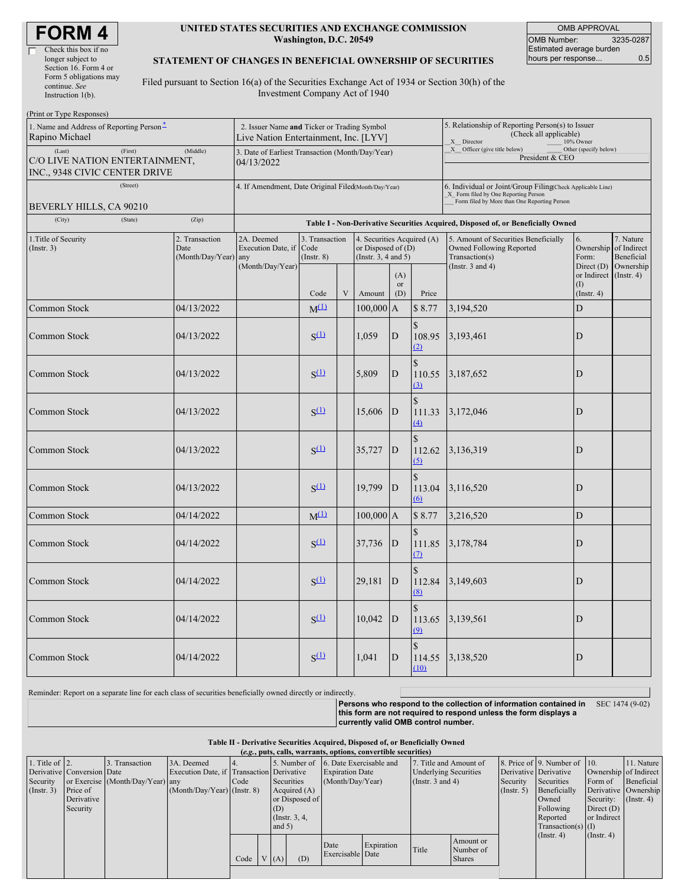| <b>FORM4</b> |  |
|--------------|--|
|--------------|--|

| Check this box if no   |
|------------------------|
| longer subject to      |
| Section 16. Form 4 or  |
| Form 5 obligations may |
| continue. See          |
| Instruction $l(b)$ .   |

#### **UNITED STATES SECURITIES AND EXCHANGE COMMISSION Washington, D.C. 20549**

OMB APPROVAL OMB Number: 3235-0287 Estimated average burden hours per response... 0.5

#### **STATEMENT OF CHANGES IN BENEFICIAL OWNERSHIP OF SECURITIES**

Filed pursuant to Section 16(a) of the Securities Exchange Act of 1934 or Section 30(h) of the Investment Company Act of 1940

| (Print or Type Responses)                                                             |                                                                                      |                                                                                  |                                           |              |                                                                            |                                                                                                                                                      |                                                                                                       |                                                                                                             |                                                    |                                      |  |  |  |  |
|---------------------------------------------------------------------------------------|--------------------------------------------------------------------------------------|----------------------------------------------------------------------------------|-------------------------------------------|--------------|----------------------------------------------------------------------------|------------------------------------------------------------------------------------------------------------------------------------------------------|-------------------------------------------------------------------------------------------------------|-------------------------------------------------------------------------------------------------------------|----------------------------------------------------|--------------------------------------|--|--|--|--|
| 1. Name and Address of Reporting Person-<br>Rapino Michael                            | 2. Issuer Name and Ticker or Trading Symbol<br>Live Nation Entertainment, Inc. [LYV] |                                                                                  |                                           |              |                                                                            |                                                                                                                                                      | 5. Relationship of Reporting Person(s) to Issuer<br>(Check all applicable)<br>X Director<br>10% Owner |                                                                                                             |                                                    |                                      |  |  |  |  |
| (Last)<br>(First)<br>C/O LIVE NATION ENTERTAINMENT,<br>INC., 9348 CIVIC CENTER DRIVE  | 3. Date of Earliest Transaction (Month/Day/Year)<br>04/13/2022                       |                                                                                  |                                           |              |                                                                            | X Officer (give title below)<br>Other (specify below)<br>President & CEO                                                                             |                                                                                                       |                                                                                                             |                                                    |                                      |  |  |  |  |
| (Street)<br>BEVERLY HILLS, CA 90210                                                   | 4. If Amendment, Date Original Filed(Month/Day/Year)                                 |                                                                                  |                                           |              |                                                                            | 6. Individual or Joint/Group Filing(Check Applicable Line)<br>_X_ Form filed by One Reporting Person<br>Form filed by More than One Reporting Person |                                                                                                       |                                                                                                             |                                                    |                                      |  |  |  |  |
| (State)<br>(City)                                                                     | (Zip)                                                                                | Table I - Non-Derivative Securities Acquired, Disposed of, or Beneficially Owned |                                           |              |                                                                            |                                                                                                                                                      |                                                                                                       |                                                                                                             |                                                    |                                      |  |  |  |  |
| 1. Title of Security<br>2. Transaction<br>(Insert. 3)<br>Date<br>(Month/Day/Year) any |                                                                                      | 2A. Deemed<br>Execution Date, if<br>(Month/Day/Year)                             | 3. Transaction<br>Code<br>$($ Instr. $8)$ |              | 4. Securities Acquired (A)<br>or Disposed of $(D)$<br>(Insert. 3, 4 and 5) |                                                                                                                                                      |                                                                                                       | 5. Amount of Securities Beneficially<br>Owned Following Reported<br>Transaction(s)<br>(Instr. $3$ and $4$ ) | 6.<br>Ownership of Indirect<br>Form:<br>Direct (D) | 7. Nature<br>Beneficial<br>Ownership |  |  |  |  |
|                                                                                       |                                                                                      |                                                                                  | Code                                      | $\mathbf{V}$ | Amount                                                                     | (A)<br><b>or</b><br>(D)                                                                                                                              | Price                                                                                                 |                                                                                                             | or Indirect<br>(1)<br>$($ Instr. 4 $)$             | $($ Instr. 4 $)$                     |  |  |  |  |
| Common Stock                                                                          | 04/13/2022                                                                           |                                                                                  | $M^{(1)}$                                 |              | $100,000$ A                                                                |                                                                                                                                                      | \$8.77                                                                                                | 3,194,520                                                                                                   | D                                                  |                                      |  |  |  |  |
| Common Stock                                                                          | 04/13/2022                                                                           |                                                                                  | $S^{(1)}$                                 |              | 1,059                                                                      | D                                                                                                                                                    | $\mathbf{\hat{S}}$<br>108.95<br>(2)                                                                   | 3,193,461                                                                                                   | D                                                  |                                      |  |  |  |  |
| Common Stock                                                                          | 04/13/2022                                                                           |                                                                                  | $S^{(1)}$                                 |              | 5,809                                                                      | D                                                                                                                                                    | $\hat{\mathbf{S}}$<br>110.55<br>(3)                                                                   | 3,187,652                                                                                                   | D                                                  |                                      |  |  |  |  |
| Common Stock                                                                          | 04/13/2022                                                                           |                                                                                  | $S^{(1)}$                                 |              | 15,606                                                                     | $\mathbf{D}$                                                                                                                                         | $\mathcal{S}$<br>111.33<br>$\triangle$                                                                | 3,172,046                                                                                                   | D                                                  |                                      |  |  |  |  |
| Common Stock                                                                          | 04/13/2022                                                                           |                                                                                  | $S^{(1)}$                                 |              | 35,727                                                                     | $\mathbf{D}$                                                                                                                                         | $\hat{\mathbf{S}}$<br>112.62<br>(5)                                                                   | 3,136,319                                                                                                   | D                                                  |                                      |  |  |  |  |
| Common Stock                                                                          | 04/13/2022                                                                           |                                                                                  | $S^{(1)}$                                 |              | 19,799                                                                     | $\mathbf{D}$                                                                                                                                         | $\mathcal{S}$<br>113.04<br>$\Omega$                                                                   | 3,116,520                                                                                                   | D                                                  |                                      |  |  |  |  |
| Common Stock                                                                          | 04/14/2022                                                                           |                                                                                  | $M^{(1)}$                                 |              | $100,000$ A                                                                |                                                                                                                                                      | \$8.77                                                                                                | 3,216,520                                                                                                   | D                                                  |                                      |  |  |  |  |
| Common Stock                                                                          | 04/14/2022                                                                           |                                                                                  | $S^{(1)}$                                 |              | 37,736                                                                     | D                                                                                                                                                    | \$<br>111.85<br>$\Omega$                                                                              | 3,178,784                                                                                                   | D                                                  |                                      |  |  |  |  |
| Common Stock                                                                          | 04/14/2022                                                                           |                                                                                  | $S^{(1)}$                                 |              | 29,181                                                                     | D                                                                                                                                                    | $\mathcal{S}$<br>112.84<br>(8)                                                                        | 3,149,603                                                                                                   | $\mathbf D$                                        |                                      |  |  |  |  |
| Common Stock                                                                          | 04/14/2022                                                                           |                                                                                  | S(1)                                      |              | 10.042                                                                     | D                                                                                                                                                    | $\mathcal{S}$<br>113.65<br>(9)                                                                        | 3,139,561                                                                                                   | D                                                  |                                      |  |  |  |  |
| Common Stock                                                                          | 04/14/2022                                                                           |                                                                                  | $S^{(1)}$                                 |              | 1,041                                                                      | D                                                                                                                                                    | \$<br>114.55<br>(10)                                                                                  | 3,138,520                                                                                                   | D                                                  |                                      |  |  |  |  |

Reminder: Report on a separate line for each class of securities beneficially owned directly or indirectly.

**Persons who respond to the collection of information contained in** SEC 1474 (9-02) **this form are not required to respond unless the form displays a currently valid OMB control number.**

**Table II - Derivative Securities Acquired, Disposed of, or Beneficially Owned (***e.g.***, puts, calls, warrants, options, convertible securities)**

| 1. Title of $\vert$ 2.       | Derivative Conversion Date | 3. Transaction                   | 3A. Deemed                  | 6. Date Exercisable and<br>7. Title and Amount of<br>5. Number of<br>Execution Date, if Transaction Derivative<br><b>Expiration Date</b> |  |                                                      |                              | <b>Underlying Securities</b> |            |                       | 8. Price of 9. Number of 10.<br>Derivative Derivative |                              | 11. Nature<br>Ownership of Indirect                    |                                          |                                    |
|------------------------------|----------------------------|----------------------------------|-----------------------------|------------------------------------------------------------------------------------------------------------------------------------------|--|------------------------------------------------------|------------------------------|------------------------------|------------|-----------------------|-------------------------------------------------------|------------------------------|--------------------------------------------------------|------------------------------------------|------------------------------------|
| Security<br>$($ Instr. 3 $)$ | Price of                   | or Exercise (Month/Day/Year) any | (Month/Day/Year) (Instr. 8) | Code                                                                                                                                     |  |                                                      | Securities<br>Acquired $(A)$ | (Month/Day/Year)             |            | (Instr. $3$ and $4$ ) |                                                       | Security<br>$($ Instr. 5 $)$ | Securities<br>Beneficially                             | Form of                                  | Beneficial<br>Derivative Ownership |
|                              | Derivative<br>Security     |                                  |                             |                                                                                                                                          |  | or Disposed of<br>(D)<br>(Instr. $3, 4,$<br>and $5)$ |                              |                              |            |                       |                                                       |                              | Owned<br>Following<br>Reported<br>Transaction(s) $(I)$ | Security:<br>Direct $(D)$<br>or Indirect | $($ Instr. 4)                      |
|                              |                            |                                  |                             | Code                                                                                                                                     |  | V(A)                                                 | (D)                          | Date<br>Exercisable Date     | Expiration | Title                 | Amount or<br>Number of<br><b>Shares</b>               |                              | (Insert. 4)                                            | (Insert. 4)                              |                                    |
|                              |                            |                                  |                             |                                                                                                                                          |  |                                                      |                              |                              |            |                       |                                                       |                              |                                                        |                                          |                                    |